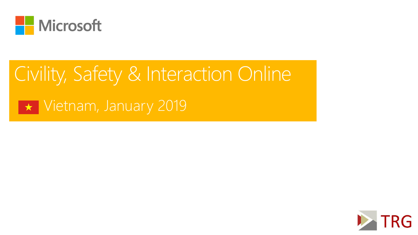

# Civility, Safety & Interaction Online

**T** Vietnam, January 2019

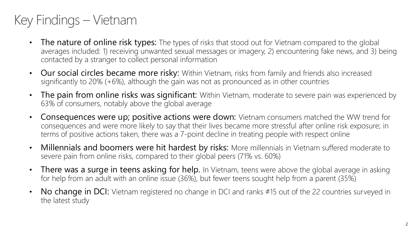# Key Findings – Vietnam

- The nature of online risk types: The types of risks that stood out for Vietnam compared to the global averages included: 1) receiving unwanted sexual messages or imagery, 2) encountering fake news, and 3) being contacted by a stranger to collect personal information
- Our social circles became more risky: Within Vietnam, risks from family and friends also increased significantly to 20% (+6%), although the gain was not as pronounced as in other countries
- The pain from online risks was significant: Within Vietnam, moderate to severe pain was experienced by 63% of consumers, notably above the global average
- Consequences were up; positive actions were down: Vietnam consumers matched the WW trend for consequences and were more likely to say that their lives became more stressful after online risk exposure; in terms of positive actions taken, there was a 7-point decline in treating people with respect online
- Millennials and boomers were hit hardest by risks: More millennials in Vietnam suffered moderate to severe pain from online risks, compared to their global peers (71% vs. 60%)
- There was a surge in teens asking for help. In Vietnam, teens were above the global average in asking for help from an adult with an online issue (36%), but fewer teens sought help from a parent (35%)
- No change in DCI: Vietnam registered no change in DCI and ranks #15 out of the 22 countries surveyed in the latest study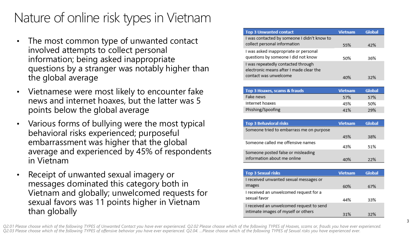## Nature of online risk types in Vietnam

- The most common type of unwanted contact involved attempts to collect personal information; being asked inappropriate questions by a stranger was notably higher than the global average
- Vietnamese were most likely to encounter fake news and internet hoaxes, but the latter was 5 points below the global average
- Various forms of bullying were the most typical behavioral risks experienced; purposeful embarrassment was higher that the global average and experienced by 45% of respondents in Vietnam
- Receipt of unwanted sexual imagery or messages dominated this category both in Vietnam and globally; unwelcomed requests for sexual favors was 11 points higher in Vietnam than globally

| <b>Top 3 Unwanted contact</b>               | Vietnam | Global |
|---------------------------------------------|---------|--------|
| I was contacted by someone I didn't know to |         |        |
| collect personal information                | 55%     | 42%    |
| I was asked inappropriate or personal       |         |        |
| questions by someone I did not know         | .50%    | 36%    |
| I was repeatedly contacted through          |         |        |
| electronic means after I made clear the     |         |        |
| contact was unwelcome                       |         |        |

| Top 3 Hoaxes, scams & frauds | <b>Vietnam</b> | Global |
|------------------------------|----------------|--------|
| Fake news                    | 57%            | 57%    |
| Internet hoaxes              | 45%            | 50%    |
| Phishing/Spoofing            | 41%            | 29%    |

| <b>Top 3 Behavioral risks</b>            | <b>Vietnam</b> | Global |
|------------------------------------------|----------------|--------|
| Someone tried to embarrass me on purpose |                |        |
|                                          | 45%            | 38%    |
| Someone called me offensive names        | 43%            | .51%   |
| Someone posted false or misleading       |                |        |
| information about me online              | 40%            | 22%    |

| <b>Top 3 Sexual risks</b>                | <b>Vietnam</b> | Global |
|------------------------------------------|----------------|--------|
| I received unwanted sexual messages or   |                |        |
| images                                   | 60%            | 67%    |
| I received an unwelcomed request for a   |                |        |
| sexual favor                             | 44%            | 33%    |
| I received an unwelcomed request to send |                |        |
| intimate images of myself or others      | 31%            | 32%    |

*Q2.01 Please choose which of the following TYPES of Unwanted Contact you have ever experienced. Q2.02 Please choose which of the following TYPES of Hoaxes, scams or, frauds you have ever experienced. Q2.03 Please choose which of the following TYPES of offensive behavior you have ever experienced. Q2.04. …Please choose which of the following TYPES of Sexual risks you have experienced ever.*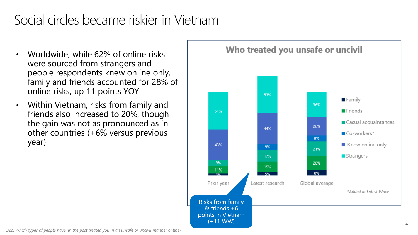## Social circles became riskier in Vietnam

- Worldwide, while 62% of online risks were sourced from strangers and people respondents knew online only, family and friends accounted for 28% of online risks, up 11 points YOY
- Within Vietnam, risks from family and friends also increased to 20%, though the gain was not as pronounced as in other countries (+6% versus previous year)



*Q2a. Which types of people have, in the past treated you in an unsafe or uncivil manner online?*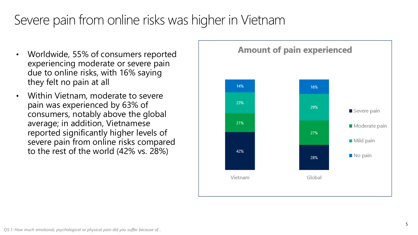# Severe pain from online risks was higher in Vietnam

- Worldwide, 55% of consumers reported experiencing moderate or severe pain due to online risks, with 16% saying they felt no pain at all
- Within Vietnam, moderate to severe pain was experienced by 63% of consumers, notably above the global average; in addition, Vietnamese reported significantly higher levels of severe pain from online risks compared to the rest of the world (42% vs. 28%)

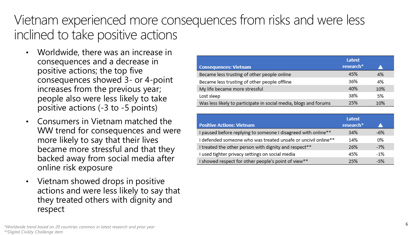#### Vietnam experienced more consequences from risks and were less inclined to take positive actions

- Worldwide, there was an increase in consequences and a decrease in positive actions; the top five consequences showed 3- or 4-point increases from the previous year; people also were less likely to take positive actions (-3 to -5 points)
- Consumers in Vietnam matched the WW trend for consequences and were more likely to say that their lives became more stressful and that they backed away from social media after online risk exposure
- Vietnam showed drops in positive actions and were less likely to say that they treated others with dignity and respect

|                                                                  | Latest                |     |
|------------------------------------------------------------------|-----------------------|-----|
| <b>Consequences: Vietnam</b>                                     | research <sup>*</sup> |     |
| Became less trusting of other people online                      | 45%                   | 4%  |
| Became less trusting of other people offline                     | 36%                   | 4%  |
| My life became more stressful                                    | 40%                   | 10% |
| Lost sleep                                                       | 38%                   | 5%  |
| Was less likely to participate in social media, blogs and forums | 25%                   | 10% |

|                                                               | Latest                |       |
|---------------------------------------------------------------|-----------------------|-------|
| <b>Positive Actions: Vietnam</b>                              | research <sup>*</sup> |       |
| I paused before replying to someone I disagreed with online** | 34%                   | $-6%$ |
| I defended someone who was treated unsafe or uncivil online** | 14%                   | 0%    |
| I treated the other person with dignity and respect**         | 26%                   | $-7%$ |
| I used tighter privacy settings on social media               | 45%                   | $-1%$ |
| I showed respect for other people's point of view**           | 25%                   | -5%   |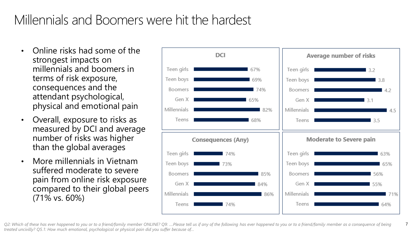## Millennials and Boomers were hit the hardest

- Online risks had some of the strongest impacts on millennials and boomers in terms of risk exposure, consequences and the attendant psychological, physical and emotional pain
- Overall, exposure to risks as measured by DCI and average number of risks was higher than the global averages
- More millennials in Vietnam suffered moderate to severe pain from online risk exposure compared to their global peers (71% vs. 60%)



7 *Q2: Which of these has ever happened to you or to a friend/family member ONLINE? Q9: ….Please tell us if any of the following has ever happened to you or to a friend/family member as a consequence of being treated uncivilly? Q5.1: How much emotional, psychological or physical pain did you suffer because of…*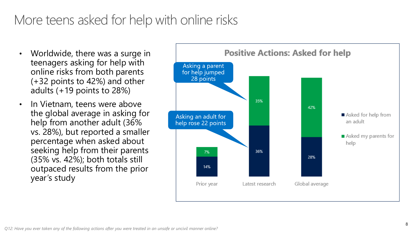#### More teens asked for help with online risks

- Worldwide, there was a surge in teenagers asking for help with online risks from both parents (+32 points to 42%) and other adults (+19 points to 28%)
- In Vietnam, teens were above the global average in asking for help from another adult (36% vs. 28%), but reported a smaller percentage when asked about seeking help from their parents (35% vs. 42%); both totals still outpaced results from the prior year's study